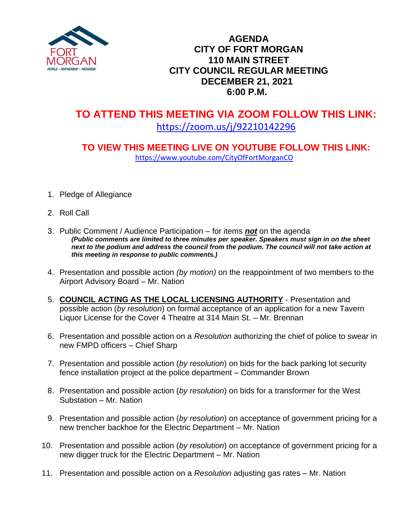

## **AGENDA CITY OF FORT MORGAN 110 MAIN STREET CITY COUNCIL REGULAR MEETING DECEMBER 21, 2021 6:00 P.M.**

# **TO ATTEND THIS MEETING VIA ZOOM FOLLOW THIS LINK:** <https://zoom.us/j/92210142296>

## **TO VIEW THIS MEETING LIVE ON YOUTUBE FOLLOW THIS LINK:** <https://www.youtube.com/CityOfFortMorganCO>

- 1. Pledge of Allegiance
- 2. Roll Call
- 3. Public Comment / Audience Participation for items *not* on the agenda *(Public comments are limited to three minutes per speaker. Speakers must sign in on the sheet next to the podium and address the council from the podium. The council will not take action at this meeting in response to public comments.)*
- 4. Presentation and possible action *(by motion)* on the reappointment of two members to the Airport Advisory Board – Mr. Nation
- 5. **COUNCIL ACTING AS THE LOCAL LICENSING AUTHORITY** Presentation and possible action (*by resolution*) on formal acceptance of an application for a new Tavern Liquor License for the Cover 4 Theatre at 314 Main St. – Mr. Brennan
- 6. Presentation and possible action on a *Resolution* authorizing the chief of police to swear in new FMPD officers – Chief Sharp
- 7. Presentation and possible action (*by resolution*) on bids for the back parking lot security fence installation project at the police department – Commander Brown
- 8. Presentation and possible action (*by resolution*) on bids for a transformer for the West Substation – Mr. Nation
- 9. Presentation and possible action (*by resolution*) on acceptance of government pricing for a new trencher backhoe for the Electric Department – Mr. Nation
- 10. Presentation and possible action (*by resolution*) on acceptance of government pricing for a new digger truck for the Electric Department – Mr. Nation
- 11. Presentation and possible action on a *Resolution* adjusting gas rates Mr. Nation